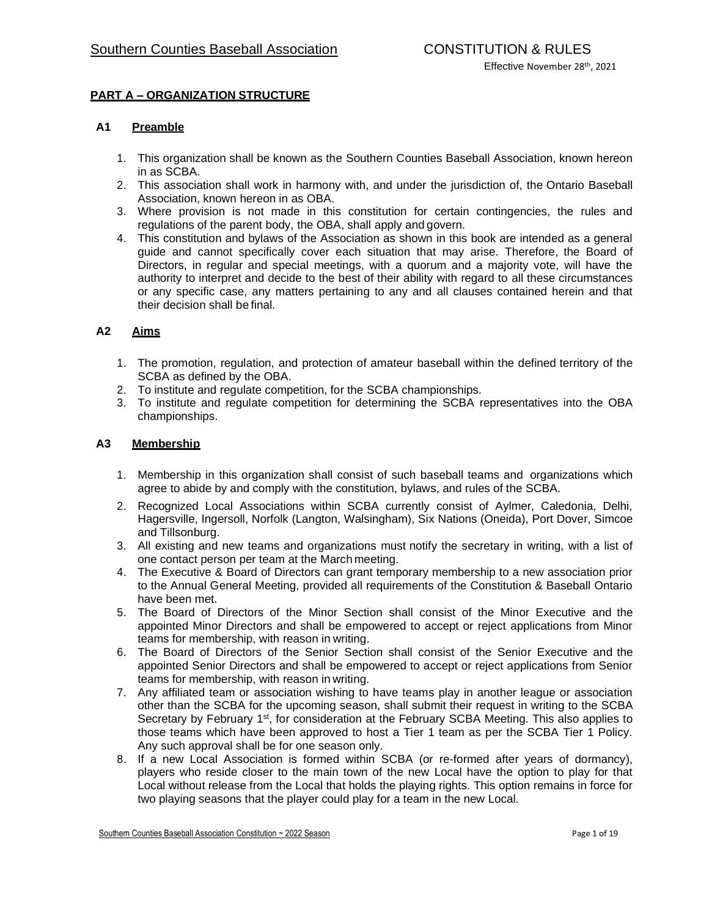# **PART A – ORGANIZATION STRUCTURE**

### **A1 Preamble**

- 1. This organization shall be known as the Southern Counties Baseball Association, known hereon in as SCBA.
- 2. This association shall work in harmony with, and under the jurisdiction of, the Ontario Baseball Association, known hereon in as OBA.
- 3. Where provision is not made in this constitution for certain contingencies, the rules and regulations of the parent body, the OBA, shall apply andgovern.
- 4. This constitution and bylaws of the Association as shown in this book are intended as a general guide and cannot specifically cover each situation that may arise. Therefore, the Board of Directors, in regular and special meetings, with a quorum and a majority vote, will have the authority to interpret and decide to the best of their ability with regard to all these circumstances or any specific case, any matters pertaining to any and all clauses contained herein and that their decision shall befinal.

## **A2 Aims**

- 1. The promotion, regulation, and protection of amateur baseball within the defined territory of the SCBA as defined by the OBA.
- 2. To institute and regulate competition, for the SCBA championships.
- 3. To institute and regulate competition for determining the SCBA representatives into the OBA championships.

### **A3 Membership**

- 1. Membership in this organization shall consist of such baseball teams and organizations which agree to abide by and comply with the constitution, bylaws, and rules of the SCBA.
- 2. Recognized Local Associations within SCBA currently consist of Aylmer, Caledonia, Delhi, Hagersville, Ingersoll, Norfolk (Langton, Walsingham), Six Nations (Oneida), Port Dover, Simcoe and Tillsonburg.
- 3. All existing and new teams and organizations must notify the secretary in writing, with a list of one contact person per team at the March meeting.
- 4. The Executive & Board of Directors can grant temporary membership to a new association prior to the Annual General Meeting, provided all requirements of the Constitution & Baseball Ontario have been met.
- 5. The Board of Directors of the Minor Section shall consist of the Minor Executive and the appointed Minor Directors and shall be empowered to accept or reject applications from Minor teams for membership, with reason in writing.
- 6. The Board of Directors of the Senior Section shall consist of the Senior Executive and the appointed Senior Directors and shall be empowered to accept or reject applications from Senior teams for membership, with reason in writing.
- 7. Any affiliated team or association wishing to have teams play in another league or association other than the SCBA for the upcoming season, shall submit their request in writing to the SCBA Secretary by February 1<sup>st</sup>, for consideration at the February SCBA Meeting. This also applies to those teams which have been approved to host a Tier 1 team as per the SCBA Tier 1 Policy. Any such approval shall be for one season only.
- 8. If a new Local Association is formed within SCBA (or re-formed after years of dormancy), players who reside closer to the main town of the new Local have the option to play for that Local without release from the Local that holds the playing rights. This option remains in force for two playing seasons that the player could play for a team in the new Local.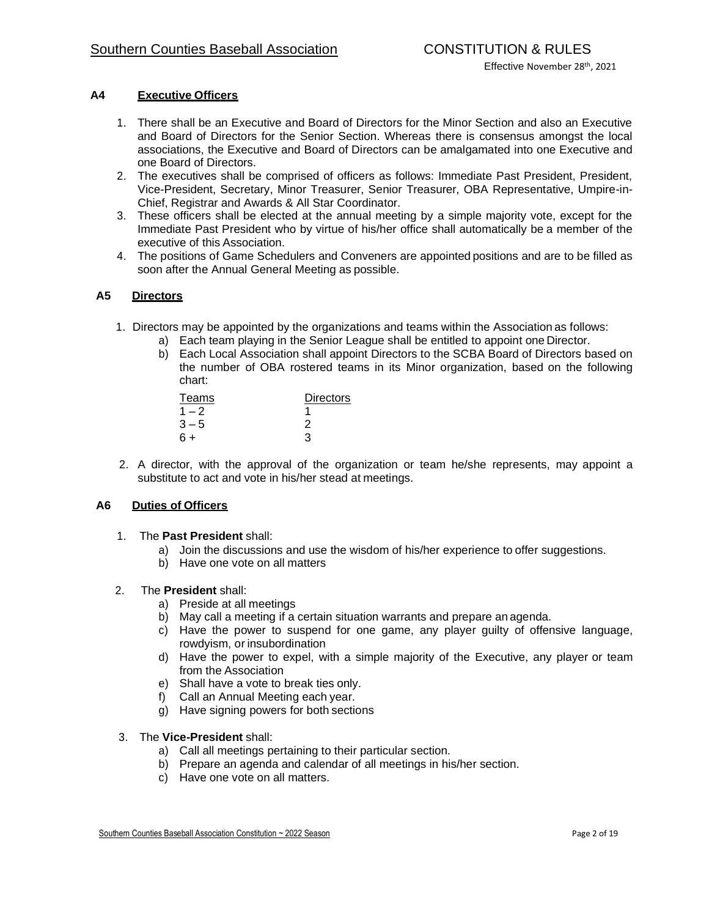## **A4 Executive Officers**

- 1. There shall be an Executive and Board of Directors for the Minor Section and also an Executive and Board of Directors for the Senior Section. Whereas there is consensus amongst the local associations, the Executive and Board of Directors can be amalgamated into one Executive and one Board of Directors.
- 2. The executives shall be comprised of officers as follows: Immediate Past President, President, Vice-President, Secretary, Minor Treasurer, Senior Treasurer, OBA Representative, Umpire-in-Chief, Registrar and Awards & All Star Coordinator.
- 3. These officers shall be elected at the annual meeting by a simple majority vote, except for the Immediate Past President who by virtue of his/her office shall automatically be a member of the executive of this Association.
- 4. The positions of Game Schedulers and Conveners are appointedpositions and are to be filled as soon after the Annual General Meeting as possible.

## **A5 Directors**

- 1. Directors may be appointed by the organizations and teams within the Associationas follows:
	- a) Each team playing in the Senior League shall be entitled to appoint one Director.
	- b) Each Local Association shall appoint Directors to the SCBA Board of Directors based on the number of OBA rostered teams in its Minor organization, based on the following chart:

| Teams   | Directors |
|---------|-----------|
| $1 - 2$ |           |
| $3 - 5$ | 2         |
| $6+$    | З         |

2. A director, with the approval of the organization or team he/she represents, may appoint a substitute to act and vote in his/her stead at meetings.

## **A6 Duties of Officers**

- 1. The **Past President** shall:
	- a) Join the discussions and use the wisdom of his/her experience to offer suggestions.
	- b) Have one vote on all matters

### 2. The **President** shall:

- a) Preside at all meetings
- b) May call a meeting if a certain situation warrants and prepare an agenda.
- c) Have the power to suspend for one game, any player guilty of offensive language, rowdyism, or insubordination
- d) Have the power to expel, with a simple majority of the Executive, any player or team from the Association
- e) Shall have a vote to break ties only.
- f) Call an Annual Meeting eachyear.
- g) Have signing powers for both sections

### 3. The **Vice-President** shall:

- a) Call all meetings pertaining to their particular section.
- b) Prepare an agenda and calendar of all meetings in his/her section.
- c) Have one vote on all matters.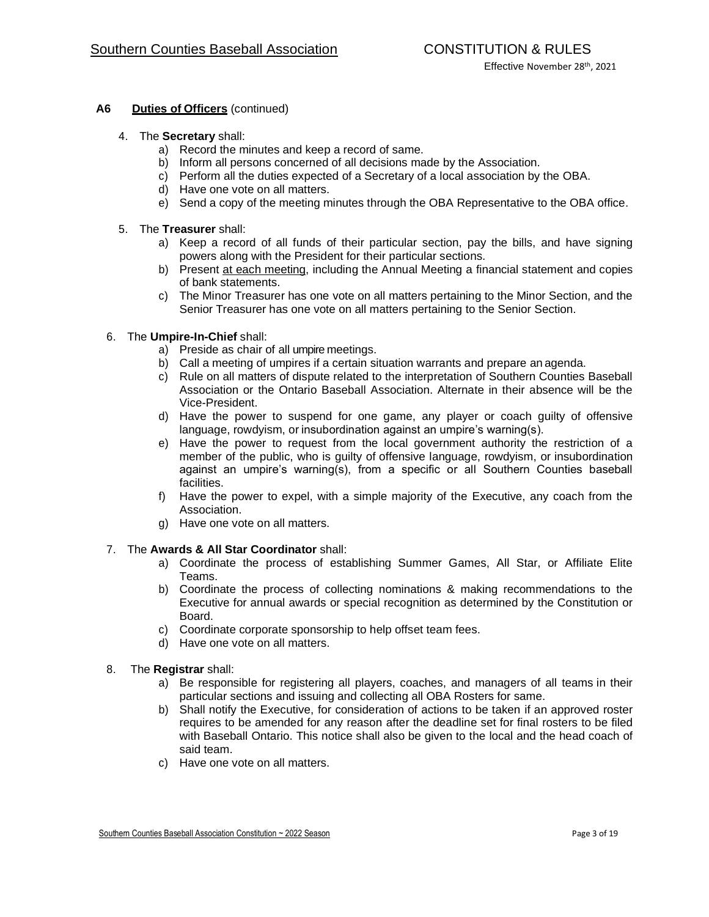## **A6 Duties of Officers** (continued)

#### 4. The **Secretary** shall:

- a) Record the minutes and keep a record of same.
- b) Inform all persons concerned of all decisions made by the Association.
- c) Perform all the duties expected of a Secretary of a local association by the OBA.
- d) Have one vote on all matters.
- e) Send a copy of the meeting minutes through the OBA Representative to the OBA office.
- 5. The **Treasurer** shall:
	- a) Keep a record of all funds of their particular section, pay the bills, and have signing powers along with the President for their particular sections.
	- b) Present at each meeting, including the Annual Meeting a financial statement and copies of bank statements.
	- c) The Minor Treasurer has one vote on all matters pertaining to the Minor Section, and the Senior Treasurer has one vote on all matters pertaining to the Senior Section.

#### 6. The **Umpire-In-Chief** shall:

- a) Preside as chair of all umpire meetings.
- b) Call a meeting of umpires if a certain situation warrants and prepare anagenda.
- c) Rule on all matters of dispute related to the interpretation of Southern Counties Baseball Association or the Ontario Baseball Association. Alternate in their absence will be the Vice-President.
- d) Have the power to suspend for one game, any player or coach guilty of offensive language, rowdyism, or insubordination against an umpire's warning(s).
- e) Have the power to request from the local government authority the restriction of a member of the public, who is guilty of offensive language, rowdyism, or insubordination against an umpire's warning(s), from a specific or all Southern Counties baseball facilities.
- f) Have the power to expel, with a simple majority of the Executive, any coach from the Association.
- g) Have one vote on all matters.

### 7. The **Awards & All Star Coordinator** shall:

- a) Coordinate the process of establishing Summer Games, All Star, or Affiliate Elite Teams.
- b) Coordinate the process of collecting nominations & making recommendations to the Executive for annual awards or special recognition as determined by the Constitution or Board.
- c) Coordinate corporate sponsorship to help offset team fees.
- d) Have one vote on all matters.
- 8. The **Registrar** shall:
	- a) Be responsible for registering all players, coaches, and managers of all teams in their particular sections and issuing and collecting all OBA Rosters for same.
	- b) Shall notify the Executive, for consideration of actions to be taken if an approved roster requires to be amended for any reason after the deadline set for final rosters to be filed with Baseball Ontario. This notice shall also be given to the local and the head coach of said team.
	- c) Have one vote on all matters.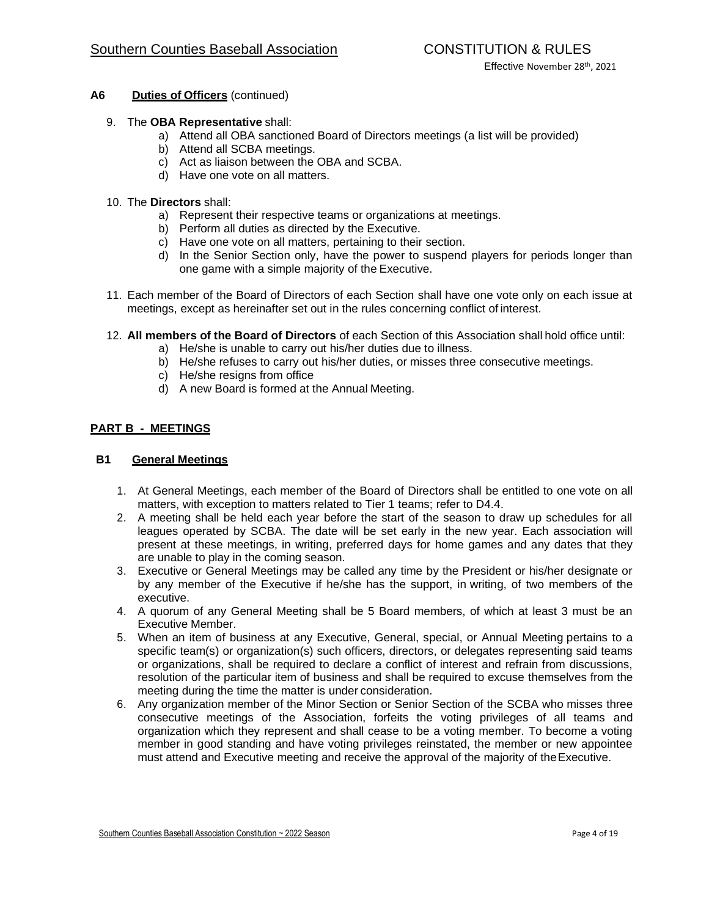- **A6 Duties of Officers** (continued)
	- 9. The **OBA Representative** shall:
		- a) Attend all OBA sanctioned Board of Directors meetings (a list will be provided)
		- b) Attend all SCBA meetings.
		- c) Act as liaison between the OBA and SCBA.
		- d) Have one vote on all matters.
	- 10. The **Directors** shall:
		- a) Represent their respective teams or organizations at meetings.
		- b) Perform all duties as directed by the Executive.
		- c) Have one vote on all matters, pertaining to their section.
		- d) In the Senior Section only, have the power to suspend players for periods longer than one game with a simple majority of the Executive.
	- 11. Each member of the Board of Directors of each Section shall have one vote only on each issue at meetings, except as hereinafter set out in the rules concerning conflict of interest.
	- 12. **All members of the Board of Directors** of each Section of this Association shallhold office until:
		- a) He/she is unable to carry out his/her duties due to illness.
		- b) He/she refuses to carry out his/her duties, or misses three consecutive meetings.
		- c) He/she resigns from office
		- d) A new Board is formed at the Annual Meeting.

## **PART B - MEETINGS**

### **B1 General Meetings**

- 1. At General Meetings, each member of the Board of Directors shall be entitled to one vote on all matters, with exception to matters related to Tier 1 teams; refer to D4.4.
- 2. A meeting shall be held each year before the start of the season to draw up schedules for all leagues operated by SCBA. The date will be set early in the new year. Each association will present at these meetings, in writing, preferred days for home games and any dates that they are unable to play in the coming season.
- 3. Executive or General Meetings may be called any time by the President or his/her designate or by any member of the Executive if he/she has the support, in writing, of two members of the executive.
- 4. A quorum of any General Meeting shall be 5 Board members, of which at least 3 must be an Executive Member.
- 5. When an item of business at any Executive, General, special, or Annual Meeting pertains to a specific team(s) or organization(s) such officers, directors, or delegates representing said teams or organizations, shall be required to declare a conflict of interest and refrain from discussions, resolution of the particular item of business and shall be required to excuse themselves from the meeting during the time the matter is under consideration.
- 6. Any organization member of the Minor Section or Senior Section of the SCBA who misses three consecutive meetings of the Association, forfeits the voting privileges of all teams and organization which they represent and shall cease to be a voting member. To become a voting member in good standing and have voting privileges reinstated, the member or new appointee must attend and Executive meeting and receive the approval of the majority of theExecutive.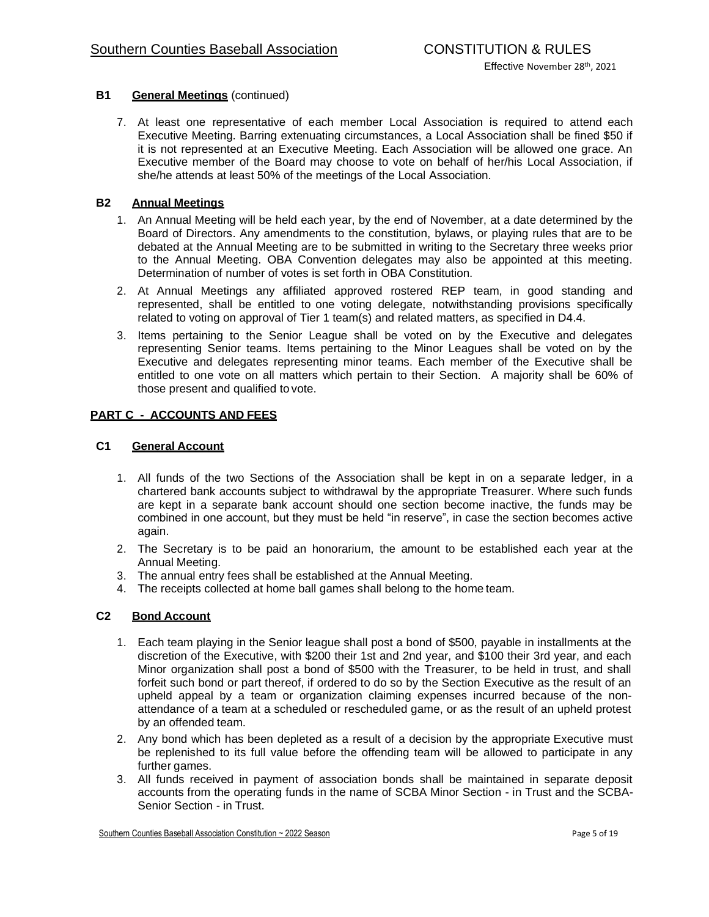# **B1 General Meetings** (continued)

7. At least one representative of each member Local Association is required to attend each Executive Meeting. Barring extenuating circumstances, a Local Association shall be fined \$50 if it is not represented at an Executive Meeting. Each Association will be allowed one grace. An Executive member of the Board may choose to vote on behalf of her/his Local Association, if she/he attends at least 50% of the meetings of the Local Association.

## **B2 Annual Meetings**

- 1. An Annual Meeting will be held each year, by the end of November, at a date determined by the Board of Directors. Any amendments to the constitution, bylaws, or playing rules that are to be debated at the Annual Meeting are to be submitted in writing to the Secretary three weeks prior to the Annual Meeting. OBA Convention delegates may also be appointed at this meeting. Determination of number of votes is set forth in OBA Constitution.
- 2. At Annual Meetings any affiliated approved rostered REP team, in good standing and represented, shall be entitled to one voting delegate, notwithstanding provisions specifically related to voting on approval of Tier 1 team(s) and related matters, as specified in D4.4.
- 3. Items pertaining to the Senior League shall be voted on by the Executive and delegates representing Senior teams. Items pertaining to the Minor Leagues shall be voted on by the Executive and delegates representing minor teams. Each member of the Executive shall be entitled to one vote on all matters which pertain to their Section. A majority shall be 60% of those present and qualified tovote.

### **PART C - ACCOUNTS AND FEES**

### **C1 General Account**

- 1. All funds of the two Sections of the Association shall be kept in on a separate ledger, in a chartered bank accounts subject to withdrawal by the appropriate Treasurer. Where such funds are kept in a separate bank account should one section become inactive, the funds may be combined in one account, but they must be held "in reserve", in case the section becomes active again.
- 2. The Secretary is to be paid an honorarium, the amount to be established each year at the Annual Meeting.
- 3. The annual entry fees shall be established at the Annual Meeting.
- 4. The receipts collected at home ball games shall belong to the hometeam.

### **C2 Bond Account**

- 1. Each team playing in the Senior league shall post a bond of \$500, payable in installments at the discretion of the Executive, with \$200 their 1st and 2nd year, and \$100 their 3rd year, and each Minor organization shall post a bond of \$500 with the Treasurer, to be held in trust, and shall forfeit such bond or part thereof, if ordered to do so by the Section Executive as the result of an upheld appeal by a team or organization claiming expenses incurred because of the nonattendance of a team at a scheduled or rescheduled game, or as the result of an upheld protest by an offended team.
- 2. Any bond which has been depleted as a result of a decision by the appropriate Executive must be replenished to its full value before the offending team will be allowed to participate in any further games.
- 3. All funds received in payment of association bonds shall be maintained in separate deposit accounts from the operating funds in the name of SCBA Minor Section - in Trust and the SCBA-Senior Section - in Trust.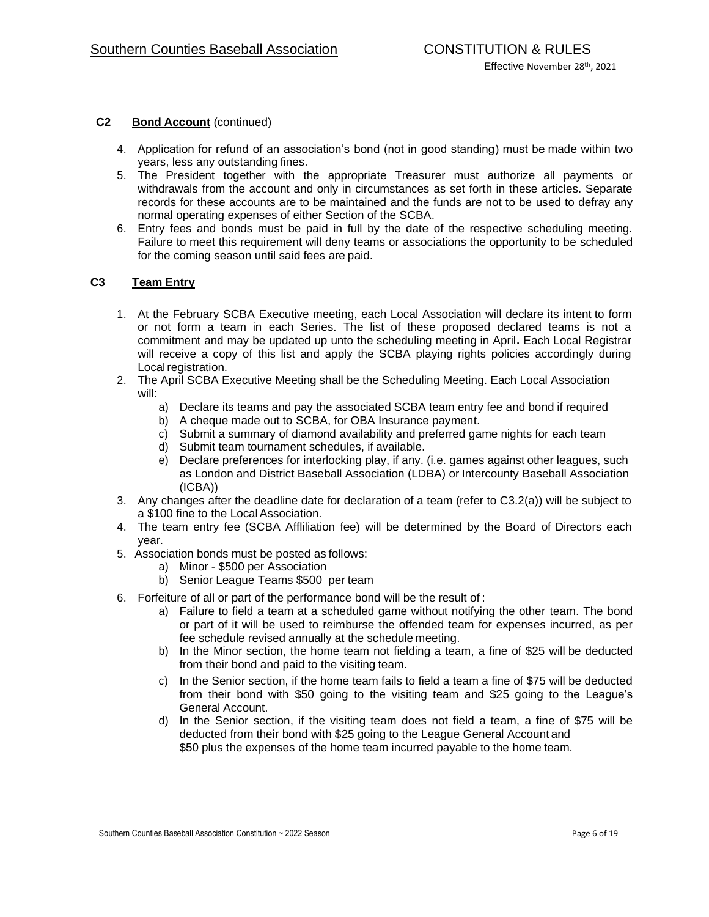## **C2 Bond Account** (continued)

- 4. Application for refund of an association's bond (not in good standing) must be made within two years, less any outstanding fines.
- 5. The President together with the appropriate Treasurer must authorize all payments or withdrawals from the account and only in circumstances as set forth in these articles. Separate records for these accounts are to be maintained and the funds are not to be used to defray any normal operating expenses of either Section of the SCBA.
- 6. Entry fees and bonds must be paid in full by the date of the respective scheduling meeting. Failure to meet this requirement will deny teams or associations the opportunity to be scheduled for the coming season until said fees are paid.

## **C3 Team Entry**

- 1. At the February SCBA Executive meeting, each Local Association will declare its intent to form or not form a team in each Series. The list of these proposed declared teams is not a commitment and may be updated up unto the scheduling meeting in April**.** Each Local Registrar will receive a copy of this list and apply the SCBA playing rights policies accordingly during Local registration.
- 2. The April SCBA Executive Meeting shall be the Scheduling Meeting. Each Local Association will:
	- a) Declare its teams and pay the associated SCBA team entry fee and bond if required
	- b) A cheque made out to SCBA, for OBA Insurance payment.
	- c) Submit a summary of diamond availability and preferred game nights for each team
	- d) Submit team tournament schedules, if available.
	- e) Declare preferences for interlocking play, if any. (i.e. games against other leagues, such as London and District Baseball Association (LDBA) or Intercounty Baseball Association (ICBA))
- 3. Any changes after the deadline date for declaration of a team (refer to C3.2(a)) will be subject to a \$100 fine to the Local Association.
- 4. The team entry fee (SCBA Affliliation fee) will be determined by the Board of Directors each year.
- 5. Association bonds must be posted as follows:
	- a) Minor \$500 per Association
	- b) Senior League Teams \$500 per team
- 6. Forfeiture of all or part of the performance bond will be the result of:
	- a) Failure to field a team at a scheduled game without notifying the other team. The bond or part of it will be used to reimburse the offended team for expenses incurred, as per fee schedule revised annually at the schedule meeting.
	- b) In the Minor section, the home team not fielding a team, a fine of \$25 will be deducted from their bond and paid to the visiting team.
	- c) In the Senior section, if the home team fails to field a team a fine of \$75 will be deducted from their bond with \$50 going to the visiting team and \$25 going to the League's General Account.
	- d) In the Senior section, if the visiting team does not field a team, a fine of \$75 will be deducted from their bond with \$25 going to the League General Accountand \$50 plus the expenses of the home team incurred payable to the home team.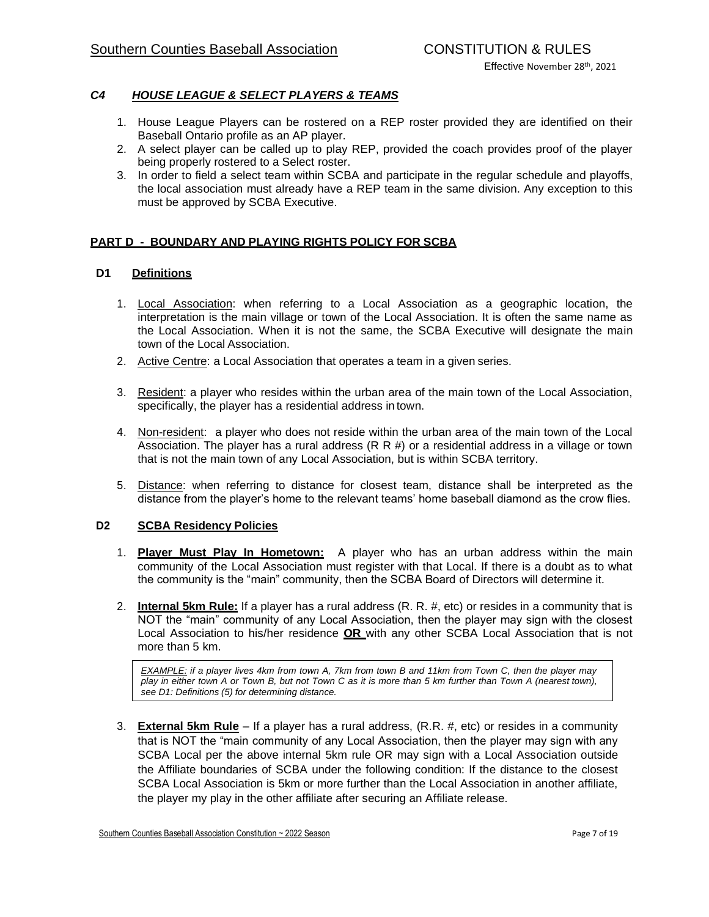## *C4 HOUSE LEAGUE & SELECT PLAYERS & TEAMS*

- 1. House League Players can be rostered on a REP roster provided they are identified on their Baseball Ontario profile as an AP player.
- 2. A select player can be called up to play REP, provided the coach provides proof of the player being properly rostered to a Select roster.
- 3. In order to field a select team within SCBA and participate in the regular schedule and playoffs, the local association must already have a REP team in the same division. Any exception to this must be approved by SCBA Executive.

## **PART D - BOUNDARY AND PLAYING RIGHTS POLICY FOR SCBA**

### **D1 Definitions**

- 1. Local Association: when referring to a Local Association as a geographic location, the interpretation is the main village or town of the Local Association. It is often the same name as the Local Association. When it is not the same, the SCBA Executive will designate the main town of the Local Association.
- 2. Active Centre: a Local Association that operates a team in a given series.
- 3. Resident: a player who resides within the urban area of the main town of the Local Association, specifically, the player has a residential address intown.
- 4. Non-resident: a player who does not reside within the urban area of the main town of the Local Association. The player has a rural address (R R #) or a residential address in a village or town that is not the main town of any Local Association, but is within SCBA territory.
- 5. Distance: when referring to distance for closest team, distance shall be interpreted as the distance from the player's home to the relevant teams' home baseball diamond as the crow flies.

### **D2 SCBA Residency Policies**

- 1. **Player Must Play In Hometown:** A player who has an urban address within the main community of the Local Association must register with that Local. If there is a doubt as to what the community is the "main" community, then the SCBA Board of Directors will determine it.
- 2. **Internal 5km Rule:** If a player has a rural address (R. R. #, etc) or resides in a community that is NOT the "main" community of any Local Association, then the player may sign with the closest Local Association to his/her residence **OR** with any other SCBA Local Association that is not more than 5 km.

*EXAMPLE: if a player lives 4km from town A, 7km from town B and 11km from Town C, then the player may play in either town A or Town B, but not Town C as it is more than 5 km further than Town A (nearest town), see D1: Definitions (5) for determining distance.*

3. **External 5km Rule** – If a player has a rural address, (R.R. #, etc) or resides in a community that is NOT the "main community of any Local Association, then the player may sign with any SCBA Local per the above internal 5km rule OR may sign with a Local Association outside the Affiliate boundaries of SCBA under the following condition: If the distance to the closest SCBA Local Association is 5km or more further than the Local Association in another affiliate, the player my play in the other affiliate after securing an Affiliate release.

Southern Counties Baseball Association Constitution ~ 2022 Season **Page 7** of 19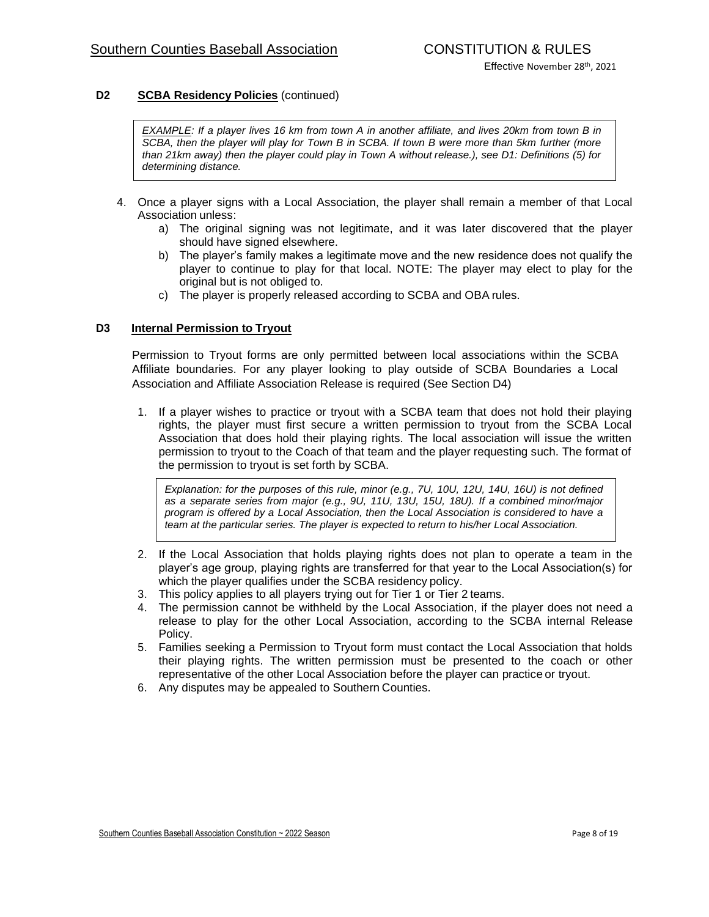## **D2 SCBA Residency Policies** (continued)

*EXAMPLE: If a player lives 16 km from town A in another affiliate, and lives 20km from town B in SCBA, then the player will play for Town B in SCBA. If town B were more than 5km further (more than 21km away) then the player could play in Town A without release.), see D1: Definitions (5) for determining distance.*

- 4. Once a player signs with a Local Association, the player shall remain a member of that Local Association unless:
	- a) The original signing was not legitimate, and it was later discovered that the player should have signed elsewhere.
	- b) The player's family makes a legitimate move and the new residence does not qualify the player to continue to play for that local. NOTE: The player may elect to play for the original but is not obliged to.
	- c) The player is properly released according to SCBA and OBA rules.

### **D3 Internal Permission to Tryout**

Permission to Tryout forms are only permitted between local associations within the SCBA Affiliate boundaries. For any player looking to play outside of SCBA Boundaries a Local Association and Affiliate Association Release is required (See Section D4)

1. If a player wishes to practice or tryout with a SCBA team that does not hold their playing rights, the player must first secure a written permission to tryout from the SCBA Local Association that does hold their playing rights. The local association will issue the written permission to tryout to the Coach of that team and the player requesting such. The format of the permission to tryout is set forth by SCBA.

*Explanation: for the purposes of this rule, minor (e.g., 7U, 10U, 12U, 14U, 16U) is not defined as a separate series from major (e.g., 9U, 11U, 13U, 15U, 18U). If a combined minor/major program is offered by a Local Association, then the Local Association is considered to have a team at the particular series. The player is expected to return to his/her Local Association.* 

- 2. If the Local Association that holds playing rights does not plan to operate a team in the player's age group, playing rights are transferred for that year to the Local Association(s) for which the player qualifies under the SCBA residency policy.
- 3. This policy applies to all players trying out for Tier 1 or Tier 2teams.
- 4. The permission cannot be withheld by the Local Association, if the player does not need a release to play for the other Local Association, according to the SCBA internal Release Policy.
- 5. Families seeking a Permission to Tryout form must contact the Local Association that holds their playing rights. The written permission must be presented to the coach or other representative of the other Local Association before the player can practice or tryout.
- 6. Any disputes may be appealed to Southern Counties.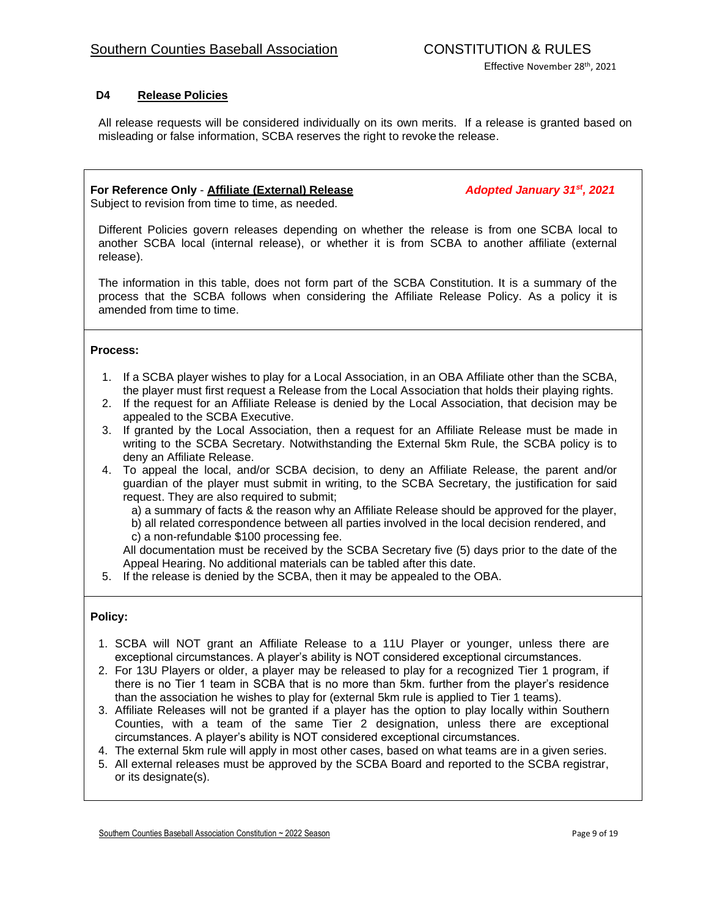## **D4 Release Policies**

All release requests will be considered individually on its own merits. If a release is granted based on misleading or false information, SCBA reserves the right to revoke the release.

## **For Reference Only** - **Affiliate (External) Release** *Adopted January 31st, 2021*

Subject to revision from time to time, as needed.

Different Policies govern releases depending on whether the release is from one SCBA local to another SCBA local (internal release), or whether it is from SCBA to another affiliate (external release).

The information in this table, does not form part of the SCBA Constitution. It is a summary of the process that the SCBA follows when considering the Affiliate Release Policy. As a policy it is amended from time to time.

### **Process:**

- 1. If a SCBA player wishes to play for a Local Association, in an OBA Affiliate other than the SCBA, the player must first request a Release from the Local Association that holds their playing rights.
- 2. If the request for an Affiliate Release is denied by the Local Association, that decision may be appealed to the SCBA Executive.
- 3. If granted by the Local Association, then a request for an Affiliate Release must be made in writing to the SCBA Secretary. Notwithstanding the External 5km Rule, the SCBA policy is to deny an Affiliate Release.
- 4. To appeal the local, and/or SCBA decision, to deny an Affiliate Release, the parent and/or guardian of the player must submit in writing, to the SCBA Secretary, the justification for said request. They are also required to submit;

a) a summary of facts & the reason why an Affiliate Release should be approved for the player, b) all related correspondence between all parties involved in the local decision rendered, and

c) a non-refundable \$100 processing fee.

All documentation must be received by the SCBA Secretary five (5) days prior to the date of the Appeal Hearing. No additional materials can be tabled after this date.

5. If the release is denied by the SCBA, then it may be appealed to the OBA.

### **Policy:**

- 1. SCBA will NOT grant an Affiliate Release to a 11U Player or younger, unless there are exceptional circumstances. A player's ability is NOT considered exceptional circumstances.
- 2. For 13U Players or older, a player may be released to play for a recognized Tier 1 program, if there is no Tier 1 team in SCBA that is no more than 5km. further from the player's residence than the association he wishes to play for (external 5km rule is applied to Tier 1 teams).
- 3. Affiliate Releases will not be granted if a player has the option to play locally within Southern Counties, with a team of the same Tier 2 designation, unless there are exceptional circumstances. A player's ability is NOT considered exceptional circumstances.
- 4. The external 5km rule will apply in most other cases, based on what teams are in a given series.
- 5. All external releases must be approved by the SCBA Board and reported to the SCBA registrar, or its designate(s).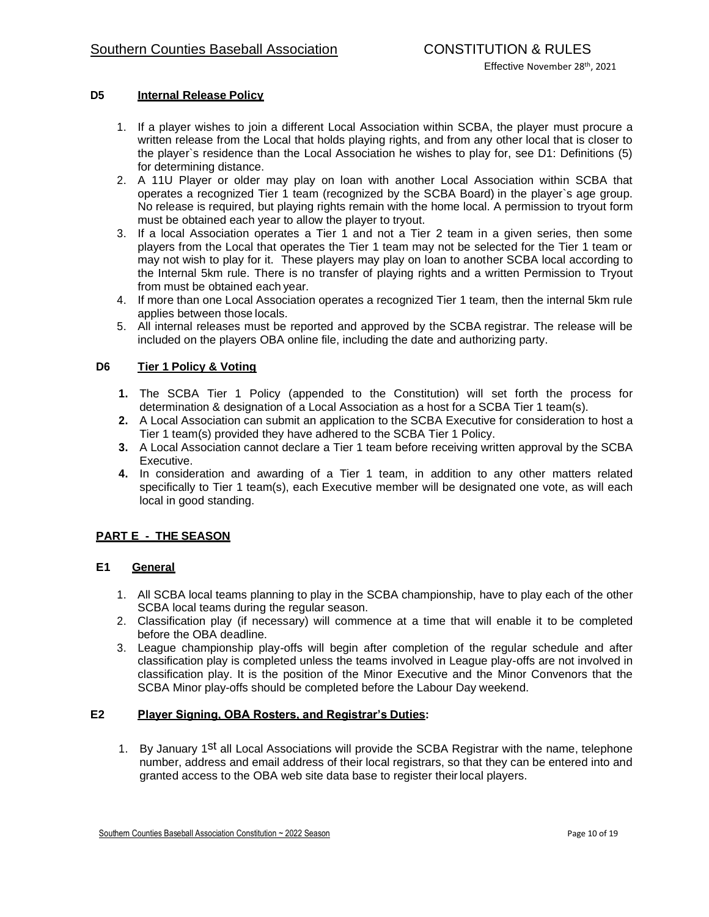### **D5 Internal Release Policy**

- 1. If a player wishes to join a different Local Association within SCBA, the player must procure a written release from the Local that holds playing rights, and from any other local that is closer to the player`s residence than the Local Association he wishes to play for, see D1: Definitions (5) for determining distance.
- 2. A 11U Player or older may play on loan with another Local Association within SCBA that operates a recognized Tier 1 team (recognized by the SCBA Board) in the player`s age group. No release is required, but playing rights remain with the home local. A permission to tryout form must be obtained each year to allow the player to tryout.
- 3. If a local Association operates a Tier 1 and not a Tier 2 team in a given series, then some players from the Local that operates the Tier 1 team may not be selected for the Tier 1 team or may not wish to play for it. These players may play on loan to another SCBA local according to the Internal 5km rule. There is no transfer of playing rights and a written Permission to Tryout from must be obtained eachyear.
- 4. If more than one Local Association operates a recognized Tier 1 team, then the internal 5km rule applies between thoselocals.
- 5. All internal releases must be reported and approved by the SCBA registrar. The release will be included on the players OBA online file, including the date and authorizing party.

## **D6 Tier 1 Policy & Voting**

- **1.** The SCBA Tier 1 Policy (appended to the Constitution) will set forth the process for determination & designation of a Local Association as a host for a SCBA Tier 1 team(s).
- **2.** A Local Association can submit an application to the SCBA Executive for consideration to host a Tier 1 team(s) provided they have adhered to the SCBA Tier 1 Policy.
- **3.** A Local Association cannot declare a Tier 1 team before receiving written approval by the SCBA Executive.
- **4.** In consideration and awarding of a Tier 1 team, in addition to any other matters related specifically to Tier 1 team(s), each Executive member will be designated one vote, as will each local in good standing.

## **PART E - THE SEASON**

### **E1 General**

- 1. All SCBA local teams planning to play in the SCBA championship, have to play each of the other SCBA local teams during the regular season.
- 2. Classification play (if necessary) will commence at a time that will enable it to be completed before the OBA deadline.
- 3. League championship play-offs will begin after completion of the regular schedule and after classification play is completed unless the teams involved in League play-offs are not involved in classification play. It is the position of the Minor Executive and the Minor Convenors that the SCBA Minor play-offs should be completed before the Labour Day weekend.

## **E2 Player Signing, OBA Rosters, and Registrar's Duties:**

1. By January 1<sup>st</sup> all Local Associations will provide the SCBA Registrar with the name, telephone number, address and email address of their local registrars, so that they can be entered into and granted access to the OBA web site data base to register theirlocal players.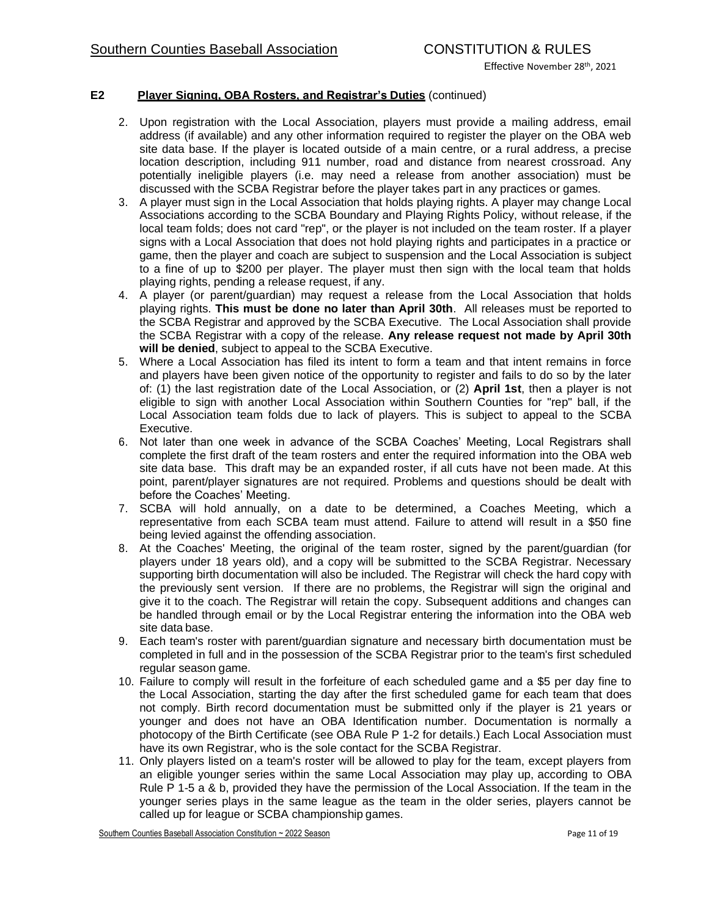## **E2 Player Signing, OBA Rosters, and Registrar's Duties** (continued)

- 2. Upon registration with the Local Association, players must provide a mailing address, email address (if available) and any other information required to register the player on the OBA web site data base. If the player is located outside of a main centre, or a rural address, a precise location description, including 911 number, road and distance from nearest crossroad. Any potentially ineligible players (i.e. may need a release from another association) must be discussed with the SCBA Registrar before the player takes part in any practices or games.
- 3. A player must sign in the Local Association that holds playing rights. A player may change Local Associations according to the SCBA Boundary and Playing Rights Policy, without release, if the local team folds; does not card "rep", or the player is not included on the team roster. If a player signs with a Local Association that does not hold playing rights and participates in a practice or game, then the player and coach are subject to suspension and the Local Association is subject to a fine of up to \$200 per player. The player must then sign with the local team that holds playing rights, pending a release request, if any.
- 4. A player (or parent/guardian) may request a release from the Local Association that holds playing rights. **This must be done no later than April 30th**. All releases must be reported to the SCBA Registrar and approved by the SCBA Executive. The Local Association shall provide the SCBA Registrar with a copy of the release. **Any release request not made by April 30th will be denied**, subject to appeal to the SCBA Executive.
- 5. Where a Local Association has filed its intent to form a team and that intent remains in force and players have been given notice of the opportunity to register and fails to do so by the later of: (1) the last registration date of the Local Association, or (2) **April 1st**, then a player is not eligible to sign with another Local Association within Southern Counties for "rep" ball, if the Local Association team folds due to lack of players. This is subject to appeal to the SCBA Executive.
- 6. Not later than one week in advance of the SCBA Coaches' Meeting, Local Registrars shall complete the first draft of the team rosters and enter the required information into the OBA web site data base. This draft may be an expanded roster, if all cuts have not been made. At this point, parent/player signatures are not required. Problems and questions should be dealt with before the Coaches' Meeting.
- 7. SCBA will hold annually, on a date to be determined, a Coaches Meeting, which a representative from each SCBA team must attend. Failure to attend will result in a \$50 fine being levied against the offending association.
- 8. At the Coaches' Meeting, the original of the team roster, signed by the parent/guardian (for players under 18 years old), and a copy will be submitted to the SCBA Registrar. Necessary supporting birth documentation will also be included. The Registrar will check the hard copy with the previously sent version. If there are no problems, the Registrar will sign the original and give it to the coach. The Registrar will retain the copy. Subsequent additions and changes can be handled through email or by the Local Registrar entering the information into the OBA web site data base.
- 9. Each team's roster with parent/guardian signature and necessary birth documentation must be completed in full and in the possession of the SCBA Registrar prior to the team's first scheduled regular season game.
- 10. Failure to comply will result in the forfeiture of each scheduled game and a \$5 per day fine to the Local Association, starting the day after the first scheduled game for each team that does not comply. Birth record documentation must be submitted only if the player is 21 years or younger and does not have an OBA Identification number. Documentation is normally a photocopy of the Birth Certificate (see OBA Rule P 1-2 for details.) Each Local Association must have its own Registrar, who is the sole contact for the SCBA Registrar.
- 11. Only players listed on a team's roster will be allowed to play for the team, except players from an eligible younger series within the same Local Association may play up, according to OBA Rule P 1-5 a & b, provided they have the permission of the Local Association. If the team in the younger series plays in the same league as the team in the older series, players cannot be called up for league or SCBA championshipgames.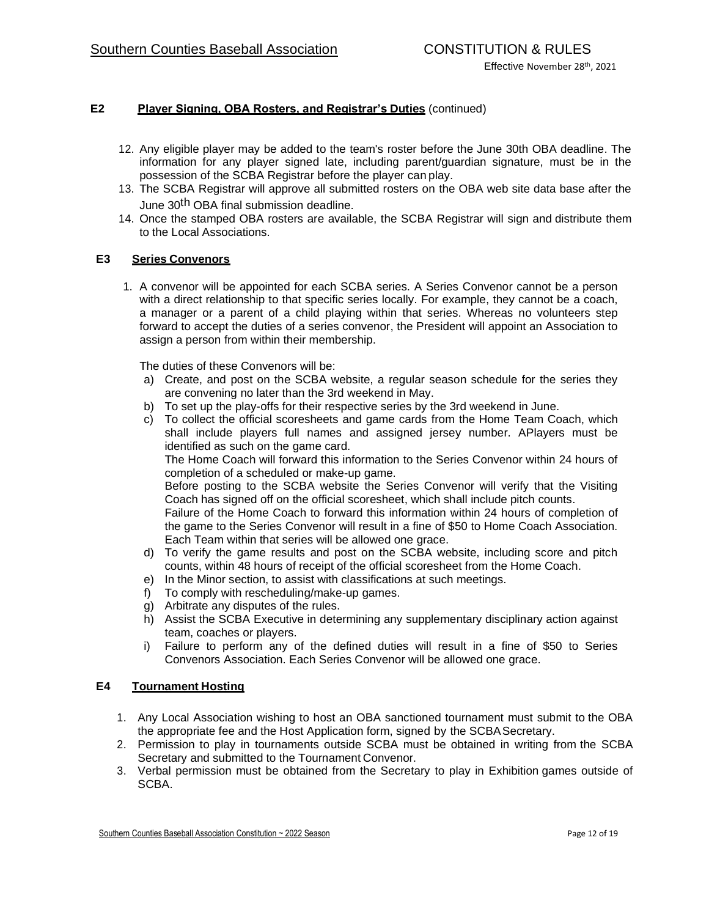# **E2 Player Signing, OBA Rosters, and Registrar's Duties** (continued)

- 12. Any eligible player may be added to the team's roster before the June 30th OBA deadline. The information for any player signed late, including parent/guardian signature, must be in the possession of the SCBA Registrar before the player canplay.
- 13. The SCBA Registrar will approve all submitted rosters on the OBA web site data base after the June 30<sup>th</sup> OBA final submission deadline.
- 14. Once the stamped OBA rosters are available, the SCBA Registrar will sign and distribute them to the Local Associations.

### **E3 Series Convenors**

1. A convenor will be appointed for each SCBA series. A Series Convenor cannot be a person with a direct relationship to that specific series locally. For example, they cannot be a coach, a manager or a parent of a child playing within that series. Whereas no volunteers step forward to accept the duties of a series convenor, the President will appoint an Association to assign a person from within their membership.

The duties of these Convenors will be:

- a) Create, and post on the SCBA website, a regular season schedule for the series they are convening no later than the 3rd weekend in May.
- b) To set up the play-offs for their respective series by the 3rd weekend in June.
- c) To collect the official scoresheets and game cards from the Home Team Coach, which shall include players full names and assigned jersey number. APlayers must be identified as such on the game card.

The Home Coach will forward this information to the Series Convenor within 24 hours of completion of a scheduled or make-up game.

Before posting to the SCBA website the Series Convenor will verify that the Visiting Coach has signed off on the official scoresheet, which shall include pitch counts.

Failure of the Home Coach to forward this information within 24 hours of completion of the game to the Series Convenor will result in a fine of \$50 to Home Coach Association. Each Team within that series will be allowed one grace.

- d) To verify the game results and post on the SCBA website, including score and pitch counts, within 48 hours of receipt of the official scoresheet from the Home Coach.
- e) In the Minor section, to assist with classifications at such meetings.
- f) To comply with rescheduling/make-up games.
- g) Arbitrate any disputes of the rules.
- h) Assist the SCBA Executive in determining any supplementary disciplinary action against team, coaches or players.
- i) Failure to perform any of the defined duties will result in a fine of \$50 to Series Convenors Association. Each Series Convenor will be allowed one grace.

### **E4 Tournament Hosting**

- 1. Any Local Association wishing to host an OBA sanctioned tournament must submit to the OBA the appropriate fee and the Host Application form, signed by the SCBA Secretary.
- 2. Permission to play in tournaments outside SCBA must be obtained in writing from the SCBA Secretary and submitted to the Tournament Convenor.
- 3. Verbal permission must be obtained from the Secretary to play in Exhibition games outside of SCBA.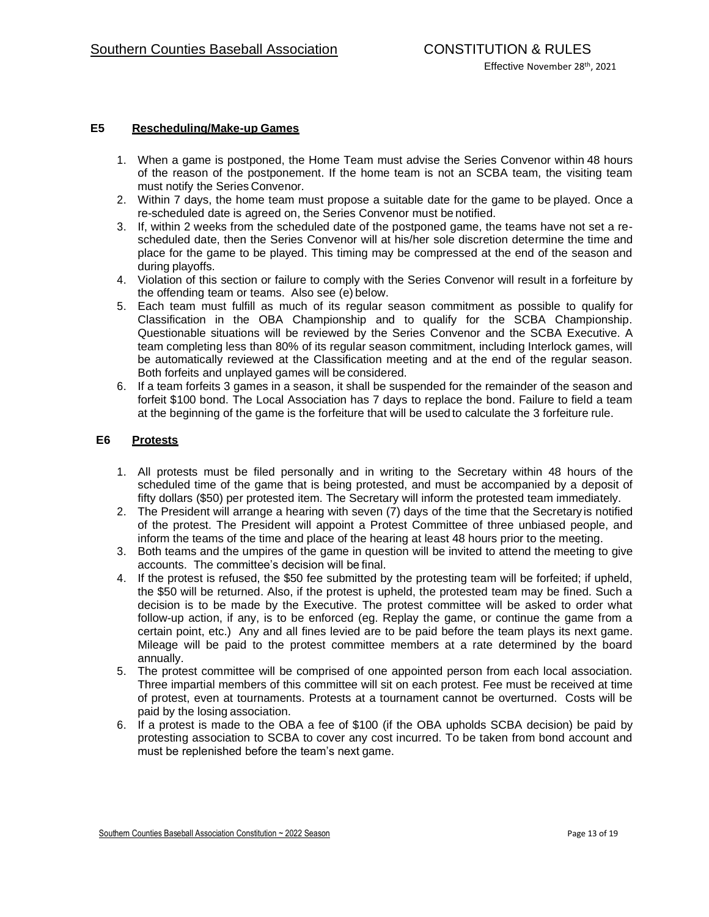## **E5 Rescheduling/Make-up Games**

- 1. When a game is postponed, the Home Team must advise the Series Convenor within 48 hours of the reason of the postponement. If the home team is not an SCBA team, the visiting team must notify the Series Convenor.
- 2. Within 7 days, the home team must propose a suitable date for the game to be played. Once a re-scheduled date is agreed on, the Series Convenor must be notified.
- 3. If, within 2 weeks from the scheduled date of the postponed game, the teams have not set a rescheduled date, then the Series Convenor will at his/her sole discretion determine the time and place for the game to be played. This timing may be compressed at the end of the season and during playoffs.
- 4. Violation of this section or failure to comply with the Series Convenor will result in a forfeiture by the offending team or teams. Also see (e) below.
- 5. Each team must fulfill as much of its regular season commitment as possible to qualify for Classification in the OBA Championship and to qualify for the SCBA Championship. Questionable situations will be reviewed by the Series Convenor and the SCBA Executive. A team completing less than 80% of its regular season commitment, including Interlock games, will be automatically reviewed at the Classification meeting and at the end of the regular season. Both forfeits and unplayed games will be considered.
- 6. If a team forfeits 3 games in a season, it shall be suspended for the remainder of the season and forfeit \$100 bond. The Local Association has 7 days to replace the bond. Failure to field a team at the beginning of the game is the forfeiture that will be usedto calculate the 3 forfeiture rule.

### **E6 Protests**

- 1. All protests must be filed personally and in writing to the Secretary within 48 hours of the scheduled time of the game that is being protested, and must be accompanied by a deposit of fifty dollars (\$50) per protested item. The Secretary will inform the protested team immediately.
- 2. The President will arrange a hearing with seven (7) days of the time that the Secretary is notified of the protest. The President will appoint a Protest Committee of three unbiased people, and inform the teams of the time and place of the hearing at least 48 hours prior to the meeting.
- 3. Both teams and the umpires of the game in question will be invited to attend the meeting to give accounts. The committee's decision will befinal.
- 4. If the protest is refused, the \$50 fee submitted by the protesting team will be forfeited; if upheld, the \$50 will be returned. Also, if the protest is upheld, the protested team may be fined. Such a decision is to be made by the Executive. The protest committee will be asked to order what follow-up action, if any, is to be enforced (eg. Replay the game, or continue the game from a certain point, etc.) Any and all fines levied are to be paid before the team plays its next game. Mileage will be paid to the protest committee members at a rate determined by the board annually.
- 5. The protest committee will be comprised of one appointed person from each local association. Three impartial members of this committee will sit on each protest. Fee must be received at time of protest, even at tournaments. Protests at a tournament cannot be overturned. Costs will be paid by the losing association.
- 6. If a protest is made to the OBA a fee of \$100 (if the OBA upholds SCBA decision) be paid by protesting association to SCBA to cover any cost incurred. To be taken from bond account and must be replenished before the team's next game.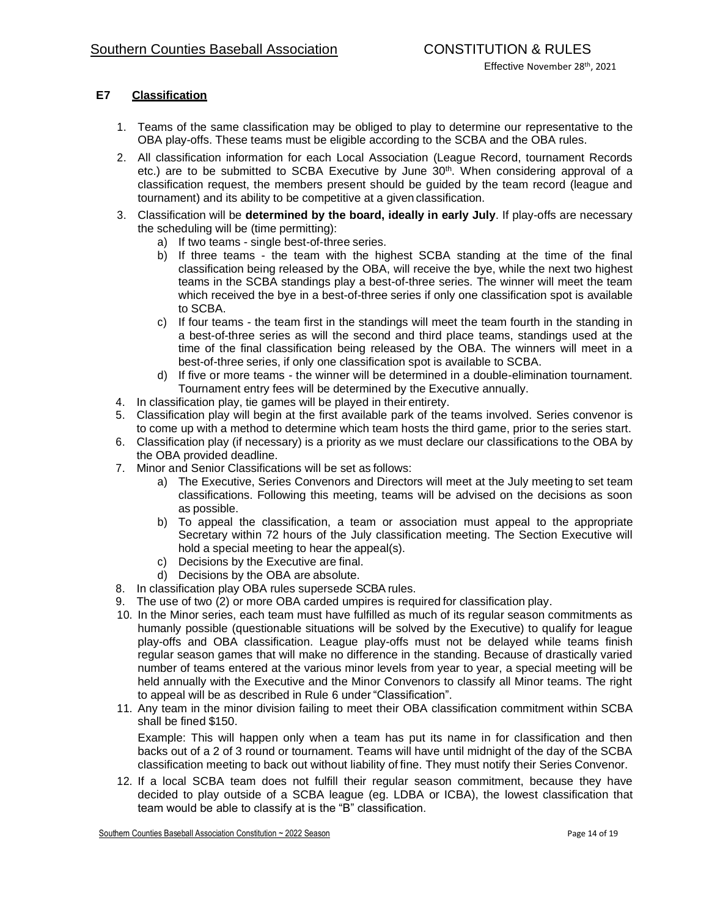# **E7 Classification**

- 1. Teams of the same classification may be obliged to play to determine our representative to the OBA play-offs. These teams must be eligible according to the SCBA and the OBA rules.
- 2. All classification information for each Local Association (League Record, tournament Records etc.) are to be submitted to SCBA Executive by June 30<sup>th</sup>. When considering approval of a classification request, the members present should be guided by the team record (league and tournament) and its ability to be competitive at a given classification.
- 3. Classification will be **determined by the board, ideally in early July**. If play-offs are necessary the scheduling will be (time permitting):
	- a) If two teams single best-of-three series.
	- b) If three teams the team with the highest SCBA standing at the time of the final classification being released by the OBA, will receive the bye, while the next two highest teams in the SCBA standings play a best-of-three series. The winner will meet the team which received the bye in a best-of-three series if only one classification spot is available to SCBA.
	- c) If four teams the team first in the standings will meet the team fourth in the standing in a best-of-three series as will the second and third place teams, standings used at the time of the final classification being released by the OBA. The winners will meet in a best-of-three series, if only one classification spot is available to SCBA.
	- d) If five or more teams the winner will be determined in a double-elimination tournament. Tournament entry fees will be determined by the Executive annually.
- 4. In classification play, tie games will be played in theirentirety.
- 5. Classification play will begin at the first available park of the teams involved. Series convenor is to come up with a method to determine which team hosts the third game, prior to the series start.
- 6. Classification play (if necessary) is a priority as we must declare our classifications tothe OBA by the OBA provided deadline.
- 7. Minor and Senior Classifications will be set as follows:
	- a) The Executive, Series Convenors and Directors will meet at the July meetingto set team classifications. Following this meeting, teams will be advised on the decisions as soon as possible.
	- b) To appeal the classification, a team or association must appeal to the appropriate Secretary within 72 hours of the July classification meeting. The Section Executive will hold a special meeting to hear the appeal(s).
	- c) Decisions by the Executive are final.
	- d) Decisions by the OBA are absolute.
- 8. In classification play OBA rules supersede SCBA rules.
- 9. The use of two (2) or more OBA carded umpires is requiredfor classification play.
- 10. In the Minor series, each team must have fulfilled as much of its regular season commitments as humanly possible (questionable situations will be solved by the Executive) to qualify for league play-offs and OBA classification. League play-offs must not be delayed while teams finish regular season games that will make no difference in the standing. Because of drastically varied number of teams entered at the various minor levels from year to year, a special meeting will be held annually with the Executive and the Minor Convenors to classify all Minor teams. The right to appeal will be as described in Rule 6 under "Classification".
- 11. Any team in the minor division failing to meet their OBA classification commitment within SCBA shall be fined \$150.

Example: This will happen only when a team has put its name in for classification and then backs out of a 2 of 3 round or tournament. Teams will have until midnight of the day of the SCBA classification meeting to back out without liability offine. They must notify their Series Convenor.

12. If a local SCBA team does not fulfill their regular season commitment, because they have decided to play outside of a SCBA league (eg. LDBA or ICBA), the lowest classification that team would be able to classify at is the "B" classification.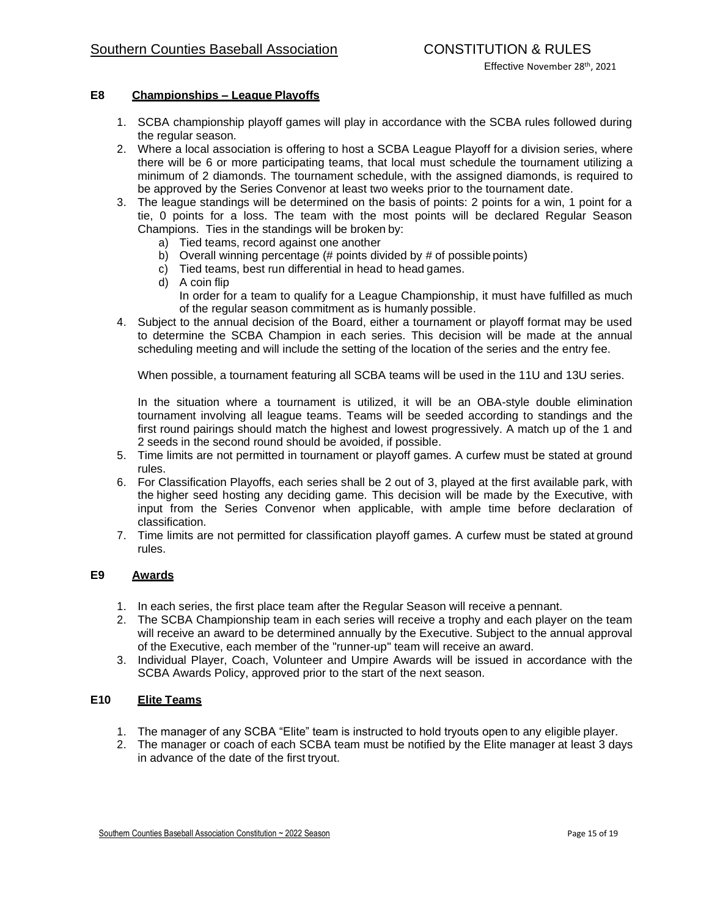## **E8 Championships – League Playoffs**

- 1. SCBA championship playoff games will play in accordance with the SCBA rules followed during the regular season.
- 2. Where a local association is offering to host a SCBA League Playoff for a division series, where there will be 6 or more participating teams, that local must schedule the tournament utilizing a minimum of 2 diamonds. The tournament schedule, with the assigned diamonds, is required to be approved by the Series Convenor at least two weeks prior to the tournament date.
- 3. The league standings will be determined on the basis of points: 2 points for a win, 1 point for a tie, 0 points for a loss. The team with the most points will be declared Regular Season Champions. Ties in the standings will be broken by:
	- a) Tied teams, record against one another
	- b) Overall winning percentage  $(\# \text{ points divided by } \# \text{ of possible points})$
	- c) Tied teams, best run differential in head to headgames.
	- d) A coin flip In order for a team to qualify for a League Championship, it must have fulfilled as much of the regular season commitment as is humanly possible.
- 4. Subject to the annual decision of the Board, either a tournament or playoff format may be used to determine the SCBA Champion in each series. This decision will be made at the annual scheduling meeting and will include the setting of the location of the series and the entry fee.

When possible, a tournament featuring all SCBA teams will be used in the 11U and 13U series.

In the situation where a tournament is utilized, it will be an OBA-style double elimination tournament involving all league teams. Teams will be seeded according to standings and the first round pairings should match the highest and lowest progressively. A match up of the 1 and 2 seeds in the second round should be avoided, if possible.

- 5. Time limits are not permitted in tournament or playoff games. A curfew must be stated at ground rules.
- 6. For Classification Playoffs, each series shall be 2 out of 3, played at the first available park, with the higher seed hosting any deciding game. This decision will be made by the Executive, with input from the Series Convenor when applicable, with ample time before declaration of classification.
- 7. Time limits are not permitted for classification playoff games. A curfew must be stated atground rules.

## **E9 Awards**

- 1. In each series, the first place team after the Regular Season will receive apennant.
- 2. The SCBA Championship team in each series will receive a trophy and each player on the team will receive an award to be determined annually by the Executive. Subject to the annual approval of the Executive, each member of the "runner-up" team will receive an award.
- 3. Individual Player, Coach, Volunteer and Umpire Awards will be issued in accordance with the SCBA Awards Policy, approved prior to the start of the next season.

## **E10 Elite Teams**

- 1. The manager of any SCBA "Elite" team is instructed to hold tryouts opento any eligible player.
- 2. The manager or coach of each SCBA team must be notified by the Elite manager at least 3 days in advance of the date of the first tryout.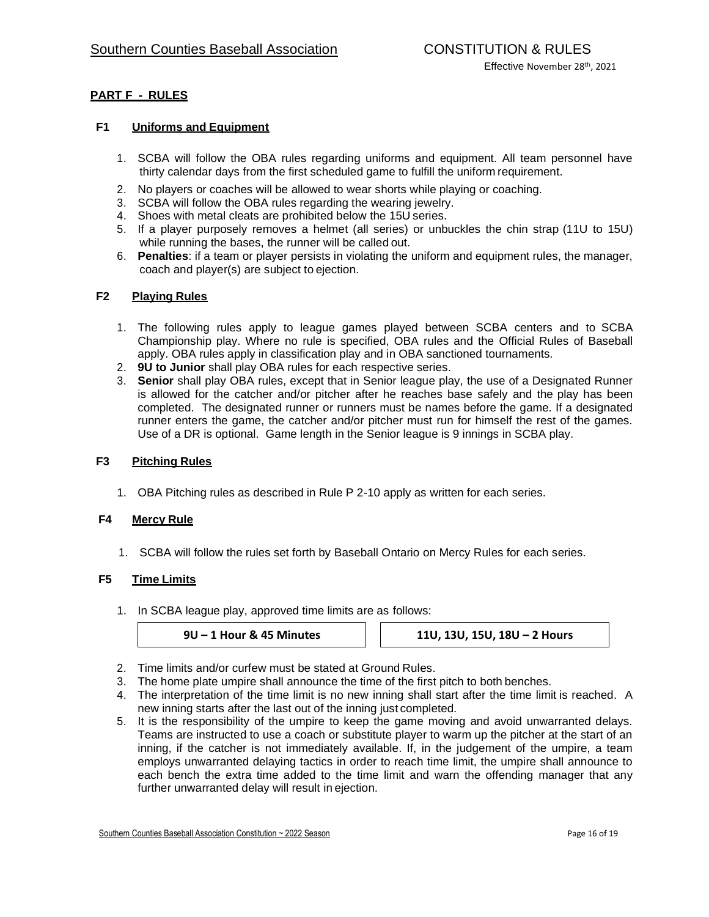# **PART F - RULES**

## **F1 Uniforms and Equipment**

- 1. SCBA will follow the OBA rules regarding uniforms and equipment. All team personnel have thirty calendar days from the first scheduled game to fulfill the uniform requirement.
- 2. No players or coaches will be allowed to wear shorts while playing or coaching.
- 3. SCBA will follow the OBA rules regarding the wearing jewelry.
- 4. Shoes with metal cleats are prohibited below the 15U series.
- 5. If a player purposely removes a helmet (all series) or unbuckles the chin strap (11U to 15U) while running the bases, the runner will be called out.
- 6. **Penalties**: if a team or player persists in violating the uniform and equipment rules, the manager, coach and player(s) are subject to ejection.

### **F2 Playing Rules**

- 1. The following rules apply to league games played between SCBA centers and to SCBA Championship play. Where no rule is specified, OBA rules and the Official Rules of Baseball apply. OBA rules apply in classification play and in OBA sanctioned tournaments.
- 2. **9U to Junior** shall play OBA rules for each respective series.
- 3. **Senior** shall play OBA rules, except that in Senior league play, the use of a Designated Runner is allowed for the catcher and/or pitcher after he reaches base safely and the play has been completed. The designated runner or runners must be names before the game. If a designated runner enters the game, the catcher and/or pitcher must run for himself the rest of the games. Use of a DR is optional. Game length in the Senior league is 9 innings in SCBA play.

### **F3 Pitching Rules**

1. OBA Pitching rules as described in Rule P 2-10 apply as written for each series.

### **F4 Mercy Rule**

1. SCBA will follow the rules set forth by Baseball Ontario on Mercy Rules for each series.

### **F5 Time Limits**

1. In SCBA league play, approved time limits are as follows:

**9U – 1 Hour & 45 Minutes 11U, 13U, 15U, 18U – 2 Hours**

- 2. Time limits and/or curfew must be stated at Ground Rules.
- 3. The home plate umpire shall announce the time of the first pitch to both benches.
- 4. The interpretation of the time limit is no new inning shall start after the time limit is reached. A new inning starts after the last out of the inning just completed.
- 5. It is the responsibility of the umpire to keep the game moving and avoid unwarranted delays. Teams are instructed to use a coach or substitute player to warm up the pitcher at the start of an inning, if the catcher is not immediately available. If, in the judgement of the umpire, a team employs unwarranted delaying tactics in order to reach time limit, the umpire shall announce to each bench the extra time added to the time limit and warn the offending manager that any further unwarranted delay will result in ejection.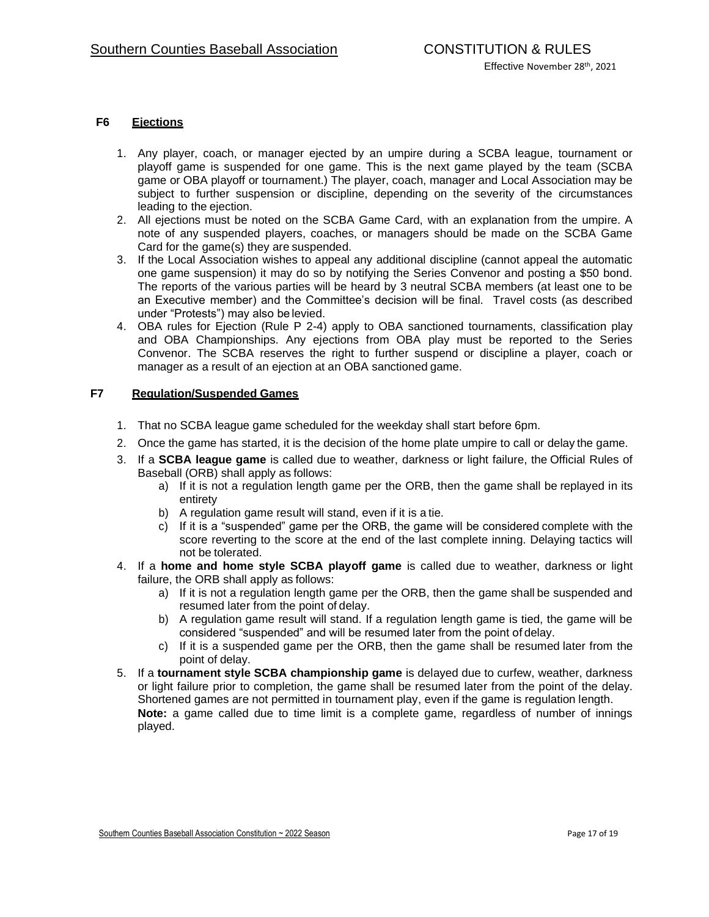## **F6 Ejections**

- 1. Any player, coach, or manager ejected by an umpire during a SCBA league, tournament or playoff game is suspended for one game. This is the next game played by the team (SCBA game or OBA playoff or tournament.) The player, coach, manager and Local Association may be subject to further suspension or discipline, depending on the severity of the circumstances leading to the ejection.
- 2. All ejections must be noted on the SCBA Game Card, with an explanation from the umpire. A note of any suspended players, coaches, or managers should be made on the SCBA Game Card for the game(s) they are suspended.
- 3. If the Local Association wishes to appeal any additional discipline (cannot appeal the automatic one game suspension) it may do so by notifying the Series Convenor and posting a \$50 bond. The reports of the various parties will be heard by 3 neutral SCBA members (at least one to be an Executive member) and the Committee's decision will be final. Travel costs (as described under "Protests") may also belevied.
- 4. OBA rules for Ejection (Rule P 2-4) apply to OBA sanctioned tournaments, classification play and OBA Championships. Any ejections from OBA play must be reported to the Series Convenor. The SCBA reserves the right to further suspend or discipline a player, coach or manager as a result of an ejection at an OBA sanctioned game.

#### **F7 Regulation/Suspended Games**

- 1. That no SCBA league game scheduled for the weekday shall start before 6pm.
- 2. Once the game has started, it is the decision of the home plate umpire to call or delay the game.
- 3. If a **SCBA league game** is called due to weather, darkness or light failure, the Official Rules of Baseball (ORB) shall apply as follows:
	- a) If it is not a regulation length game per the ORB, then the game shall be replayed in its entirety
	- b) A regulation game result will stand, even if it is atie.
	- c) If it is a "suspended" game per the ORB, the game will be considered complete with the score reverting to the score at the end of the last complete inning. Delaying tactics will not be tolerated.
- 4. If a **home and home style SCBA playoff game** is called due to weather, darkness or light failure, the ORB shall apply as follows:
	- a) If it is not a regulation length game per the ORB, then the game shall be suspended and resumed later from the point of delay.
	- b) A regulation game result will stand. If a regulation length game is tied, the game will be considered "suspended" and will be resumed later from the point of delay.
	- c) If it is a suspended game per the ORB, then the game shall be resumed later from the point of delay.
- 5. If a **tournament style SCBA championship game** is delayed due to curfew, weather, darkness or light failure prior to completion, the game shall be resumed later from the point of the delay. Shortened games are not permitted in tournament play, even if the game is regulation length. **Note:** a game called due to time limit is a complete game, regardless of number of innings played.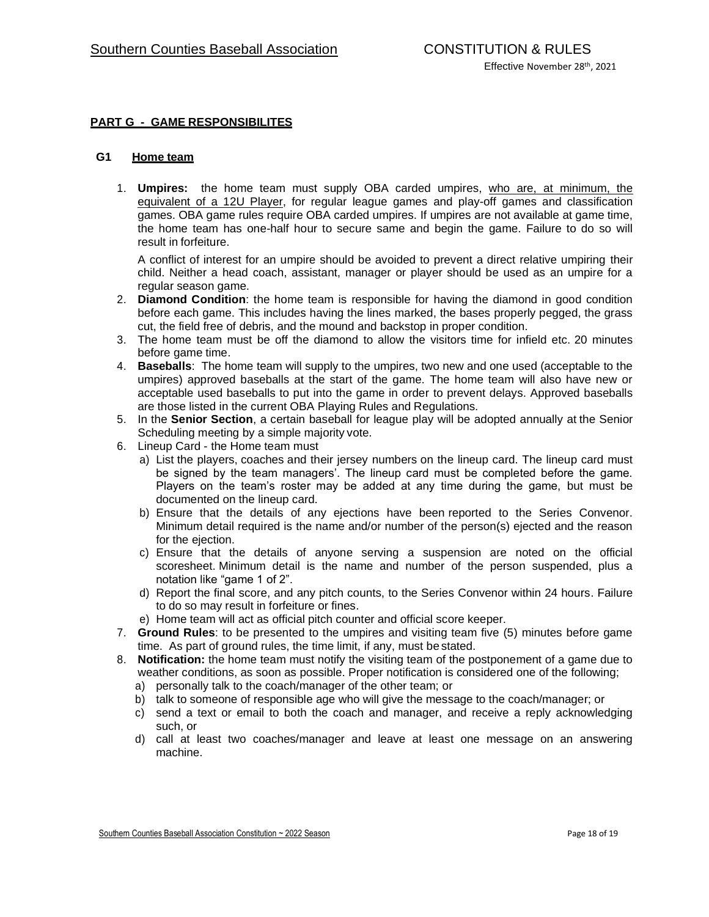## **PART G - GAME RESPONSIBILITES**

#### **G1 Home team**

1. **Umpires:** the home team must supply OBA carded umpires, who are, at minimum, the equivalent of a 12U Player, for regular league games and play-off games and classification games. OBA game rules require OBA carded umpires. If umpires are not available at game time, the home team has one-half hour to secure same and begin the game. Failure to do so will result in forfeiture.

A conflict of interest for an umpire should be avoided to prevent a direct relative umpiring their child. Neither a head coach, assistant, manager or player should be used as an umpire for a regular season game.

- 2. **Diamond Condition**: the home team is responsible for having the diamond in good condition before each game. This includes having the lines marked, the bases properly pegged, the grass cut, the field free of debris, and the mound and backstop in proper condition.
- 3. The home team must be off the diamond to allow the visitors time for infield etc. 20 minutes before game time.
- 4. **Baseballs**: The home team will supply to the umpires, two new and one used (acceptable to the umpires) approved baseballs at the start of the game. The home team will also have new or acceptable used baseballs to put into the game in order to prevent delays. Approved baseballs are those listed in the current OBA Playing Rules and Regulations.
- 5. In the **Senior Section**, a certain baseball for league play will be adopted annually at the Senior Scheduling meeting by a simple majority vote.
- 6. Lineup Card the Home team must
	- a) List the players, coaches and their jersey numbers on the lineup card. The lineup card must be signed by the team managers'. The lineup card must be completed before the game. Players on the team's roster may be added at any time during the game, but must be documented on the lineup card.
	- b) Ensure that the details of any ejections have been reported to the Series Convenor. Minimum detail required is the name and/or number of the person(s) ejected and the reason for the ejection.
	- c) Ensure that the details of anyone serving a suspension are noted on the official scoresheet. Minimum detail is the name and number of the person suspended, plus a notation like "game 1 of 2".
	- d) Report the final score, and any pitch counts, to the Series Convenor within 24 hours. Failure to do so may result in forfeiture or fines.
	- e) Home team will act as official pitch counter and official score keeper.
- 7. **Ground Rules**: to be presented to the umpires and visiting team five (5) minutes before game time. As part of ground rules, the time limit, if any, must bestated.
- 8. **Notification:** the home team must notify the visiting team of the postponement of a game due to weather conditions, as soon as possible. Proper notification is considered one of the following;
	- a) personally talk to the coach/manager of the other team; or
	- b) talk to someone of responsible age who will give the message to the coach/manager; or
	- c) send a text or email to both the coach and manager, and receive a reply acknowledging such, or
	- d) call at least two coaches/manager and leave at least one message on an answering machine.